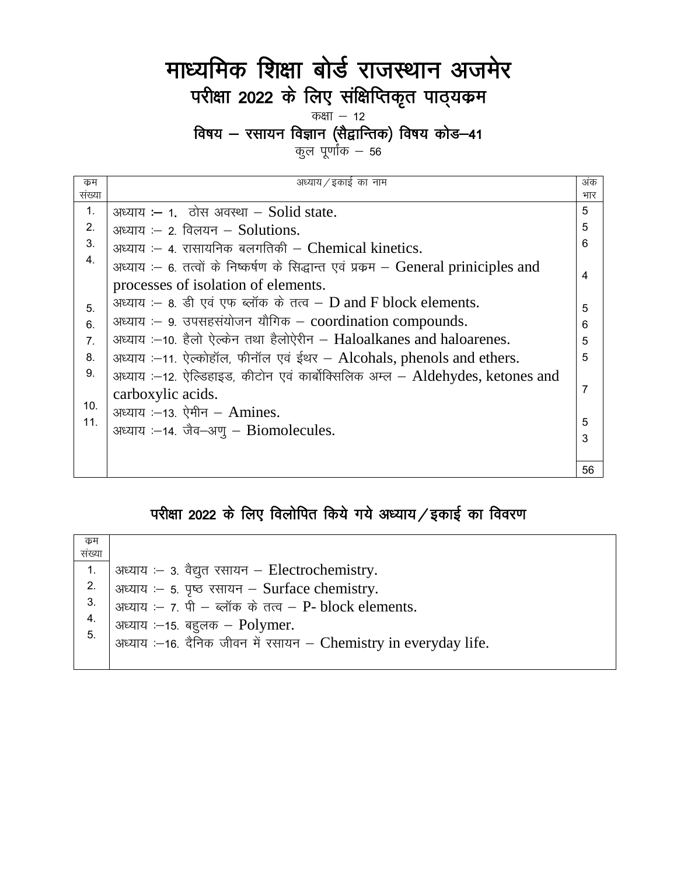## माध्यमिक शिक्षा बोर्ड राजस्थान अजमेर परीक्षा 2022 के लिए संक्षिप्तिकृत पाठ्यक्रम कक्षा  $-12$

# विषय – रसायन विज्ञान (सैद्वान्तिक) विषय कोड–41<br>कुल पूर्णांक – 56

| कम             | अध्याय / इकाई का नाम                                                              | अंक            |
|----------------|-----------------------------------------------------------------------------------|----------------|
| संख्या         |                                                                                   | भार            |
| 1.             | अध्याय :- 1. ठोस अवस्था $-$ Solid state.                                          | 5              |
| 2.             | अध्याय $-$ 2. विलयन $-$ Solutions.                                                | 5              |
| 3.             | अध्याय :- 4. रासायनिक बलगतिकी - Chemical kinetics.                                | 6              |
| 4.             | अध्याय :- 6. तत्वों के निष्कर्षण के सिद्धान्त एवं प्रकम - General priniciples and | 4              |
|                | processes of isolation of elements.                                               |                |
| 5.             | अध्याय :- 8. डी एवं एफ ब्लॉक के तत्व - $D$ and F block elements.                  | 5              |
| 6.             | अध्याय :- 9. उपसहसंयोजन यौगिक - coordination compounds.                           | 6              |
| 7 <sub>1</sub> | अध्याय :-10. हैलो ऐल्केन तथा हैलोऐरीन - Haloalkanes and haloarenes.               | 5              |
| 8.             | अध्याय :-11. ऐल्कोहॉल, फीनॉल एवं ईथर - Alcohals, phenols and ethers.              | 5              |
| 9.             | अध्याय :–12. ऐल्डिहाइड, कीटोन एवं कार्बोक्सिलिक अम्ल – Aldehydes, ketones and     |                |
|                | carboxylic acids.                                                                 | $\overline{7}$ |
| 10.            | अध्याय :- 13. ऐमीन - Amines.                                                      |                |
| 11.            | अध्याय :-14. जैव-अणु - Biomolecules.                                              | 5              |
|                |                                                                                   | 3              |
|                |                                                                                   |                |
|                |                                                                                   | 56             |

## परीक्षा 2022 के लिए विलोपित किये गये अध्याय/इकाई का विवरण

| कम            |                                                                  |
|---------------|------------------------------------------------------------------|
| संख्या        |                                                                  |
| 1.            | अध्याय :- 3. वैद्युत रसायन - Electrochemistry.                   |
| 2.            | अध्याय :- 5. पृष्ठ रसायन - Surface chemistry.                    |
| 3.            | अध्याय :- 7. पी - ब्लॉक के तत्व - P- block elements.             |
| $\frac{4}{5}$ | अध्याय $-15$ . बहुलक - Polymer.                                  |
|               | अध्याय :- 16. दैनिक जीवन में रसायन - Chemistry in everyday life. |
|               |                                                                  |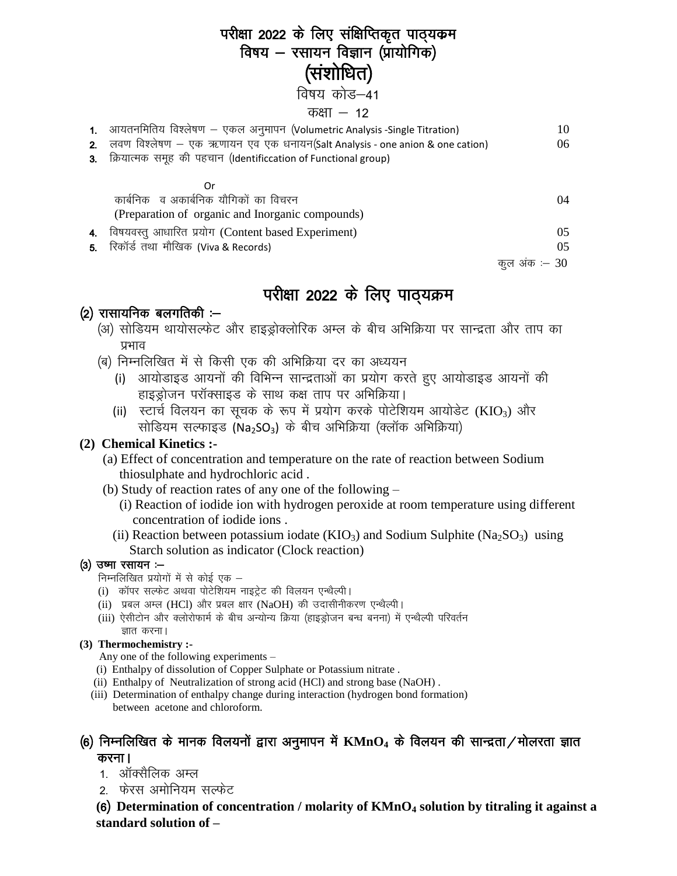## परीक्षा 2022 के लिए संक्षिप्तिकृत पाठ्यक्रम विषय – रसायन विज्ञान (प्रायोगिक) (संशोधित)

विषय कोड–41

#### कक्षा  $-12$

|                | 1. आयतनमितिय विश्लेषण – एकल अनुमापन (Volumetric Analysis -Single Titration)    | 10  |
|----------------|--------------------------------------------------------------------------------|-----|
|                | 2. लवण विश्लेषण – एक ऋणायन एव एक धनायन(Salt Analysis - one anion & one cation) | 06  |
| 3 <sub>1</sub> | क्रियात्मक समूह की पहचान (Identificcation of Functional group)                 |     |
|                |                                                                                |     |
|                | 0r                                                                             |     |
|                | कार्बनिक व अकार्बनिक यौगिकों का विचरन                                          | 04  |
|                | (Preparation of organic and Inorganic compounds)                               |     |
| 4.             | विषयवस्तु आधारित प्रयोग (Content based Experiment)                             | 05. |
|                | 5. रिकॉर्ड तथा मौखिक (Viva & Records)                                          | 05  |

कल अंक :–  $30$ 

## परीक्षा 2022 के लिए पाठ्यक्रम

#### $(2)$  रासायनिक बलगतिकी :-

- (अ) सोडियम थायोसल्फेट और हाइड्रोक्लोरिक अम्ल के बीच अभिक्रिया पर सान्द्रता और ताप का प्रभाव
- (ब) निम्नलिखित में से किसी एक की अभिक्रिया दर का अध्ययन
	- (i) आयोडाइड आयनों की विभिन्न सान्द्रताओं का प्रयोग करते हुए आयोडाइड आयनों की हाइड्रोजन परॉक्साइड के साथ कक्ष ताप पर अभिक्रिया।
	- (ii) स्टार्च विलयन का सूचक के रूप में प्रयोग करके पोटेशियम आयोडेट (KIO3) और सोडियम सल्फाइड (Na<sub>2</sub>SO<sub>3</sub>) के बीच अभिक्रिया (क्लॉक अभिक्रिया)

#### (2) Chemical Kinetics :-

- (a) Effect of concentration and temperature on the rate of reaction between Sodium thiosulphate and hydrochloric acid.
- (b) Study of reaction rates of any one of the following  $-$ 
	- (i) Reaction of iodide ion with hydrogen peroxide at room temperature using different concentration of iodide ions.
	- (ii) Reaction between potassium iodate ( $KIO_3$ ) and Sodium Sulphite ( $Na_2SO_3$ ) using Starch solution as indicator (Clock reaction)

#### $(3)$  उष्मा रसायन :-

निम्नलिखित प्रयोगों में से कोई एक –

- (i) कॉपर सल्फेट अथवा पोटेशियम नाइट्रेट की विलयन एन्थैल्पी।
- (ii) प्रबल अम्ल (HCl) और प्रबल क्षार (NaOH) की उदासीनीकरण एन्थैल्पी।
- (iii) ऐसीटोन और क्लोरोफार्म के बीच अन्योन्य क्रिया (हाइड्रोजन बन्ध बनना) में एन्थैल्पी परिवर्तन ज्ञात करना।

#### (3) Thermochemistry :-

Any one of the following experiments –

- (i) Enthalpy of dissolution of Copper Sulphate or Potassium nitrate.
- (ii) Enthalpy of Neutralization of strong acid (HCl) and strong base (NaOH).
- (iii) Determination of enthalpy change during interaction (hydrogen bond formation) between acetone and chloroform.

#### (6) निम्नलिखित के मानक विलयनों द्वारा अनुमापन में  $\mathbf{KMnO_4}$  के विलयन की सान्द्रता/मोलरता ज्ञात करना।

- 1. ऑक्सैलिक अम्ल
- 2. फेरस अमोनियम सल्फेट

(6) Determination of concentration / molarity of  $KMnO_4$  solution by titraling it against a standard solution of -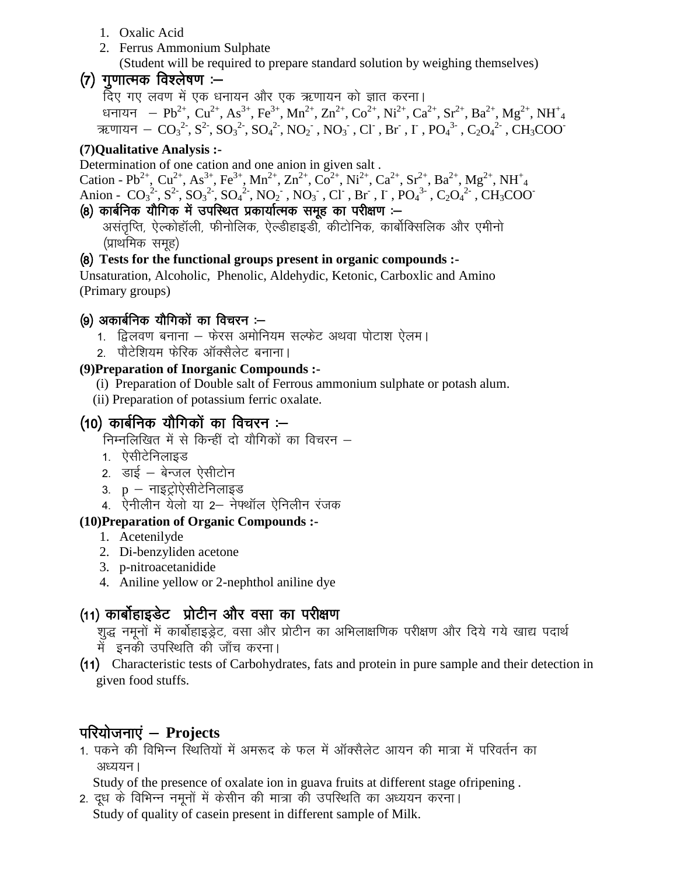- 1. Oxalic Acid
- 2. Ferrus Ammonium Sulphate

(Student will be required to prepare standard solution by weighing themselves)

## (7) गणात्मक विश्लेषण :—

हिए गए लवण में एक धनायन और एक ऋणायन को ज्ञात करना।

धनायन —  $Pb^{2+},\, \mathrm{Cu}^{2+},\, \mathrm{As}^{3+},\, \mathrm{Fe}^{3+},\, \mathrm{Mn}^{2+},\, \mathrm{Zn}^{2+},\, \mathrm{Co}^{2+},\, \mathrm{Ni}^{2+},\, \mathrm{Ca}^{2+},\, \mathrm{Sr}^{2+},\, \mathrm{Mg}^{2+},\, \mathrm{NH}^+_{4}$ ऋणायन  $-\text{CO}_3{}^2$ ,  $\text{SO}_3{}^2$ ,  $\text{SO}_4{}^2$ ,  $\text{NO}_2{}^{\text{-}}$ ,  $\text{NO}_3{}^{\text{-}}$ ,  $\text{Cl}^{\text{-}}$ ,  $\text{Br}^{\text{-}}$ ,  $\Gamma$  ,  $\text{PO}_4{}^3{}^{\text{-}}$ ,  $\text{C}_2\text{O}_4{}^2{}^{\text{-}}$ ,  $\text{CH}_3\text{COO}^{\text{-}}$ 

#### **(7)Qualitative Analysis :-**

Determination of one cation and one anion in given salt .

Cation - Pb<sup>2+</sup>, Cu<sup>2+</sup>, As<sup>3+</sup>, Fe<sup>3+</sup>, Mn<sup>2+</sup>, Zn<sup>2+</sup>, Co<sup>2+</sup>, Ni<sup>2+</sup>, Ca<sup>2+</sup>, Sr<sup>2+</sup>, Ba<sup>2+</sup>, Mg<sup>2+</sup>, NH<sup>+</sup><sub>4</sub> Anion -  $CO_3^2$ ,  $S^2$ ,  $SO_3^2$ ,  $SO_4^2$ ,  $NO_2$ ,  $NO_3$ ,  $Cl$ ,  $Br$ ,  $I$ ,  $PO_4^3$ ,  $C_2O_4^2$ ,  $CH_3COO$ 

#### (8) कार्बनिक यौगिक में उपस्थित प्रकार्यात्मक समूह का परीक्षण :—

असंतृप्ति, ऐल्कोहॉली, फीनोलिक, ऐल्डीहाइडी, कीटोनिक, कार्बोक्सिलिक और एमीनो (प्राथमिक समूह)

#### ¼8½ **Tests for the functional groups present in organic compounds :-**

Unsaturation, Alcoholic, Phenolic, Aldehydic, Ketonic, Carboxlic and Amino (Primary groups)

## (9) अकार्बनिक यौगिकों का विचरन :—

- 1. हिलवण बनाना फेरस अमोनियम सल्फेट अथवा पोटाश ऐलम।
- 2. पौटेशियम फेरिक ऑक्सैलेट बनाना।

#### **(9)Preparation of Inorganic Compounds :-**

- (i) Preparation of Double salt of Ferrous ammonium sulphate or potash alum.
- (ii) Preparation of potassium ferric oxalate.

## $(10)$  कार्बनिक यौगिकों का विचरन $:=$

निम्नलिखित में से किन्हीं दो यौगिकों का विचरन  $-$ 

- 1. ऐसीटेनिलाइड
- 2. डाई बेन्जल ऐसीटोन
- 3.  $p \pi$ इट्रोऐसीटेनिलाइड
- 4. ऐनीलीन येलो या 2— नेफ्थॉल ऐनिलीन रंजक

#### **(10)Preparation of Organic Compounds :-**

- 1. Acetenilyde
- 2. Di-benzyliden acetone
- 3. p-nitroacetanidide
- 4. Aniline yellow or 2-nephthol aniline dye

## (11) कार्बोहाइडेट प्रोटीन और वसा का परीक्षण

शुद्ध नमूनों में कार्बोहाइड्रेट, वसा और प्रोटीन का अभिलाक्षणिक परीक्षण और दिये गये खाद्य पदार्थ में इनकी उपस्थिति की जाँच करना।

 ¼11½ Characteristic tests of Carbohydrates, fats and protein in pure sample and their detection in given food stuffs.

## परियोजनाएं – Projects

1. पकने की विभिन्न स्थितियों में अमरूद के फल में ऑक्सैलेट आयन की मात्रा में परिवर्तन का अध्ययन ।

Study of the presence of oxalate ion in guava fruits at different stage ofripening .

2. दूध के विभिन्न नमूनों में केसीन की मात्रा की उपस्थिति का अध्ययन करना। Study of quality of casein present in different sample of Milk.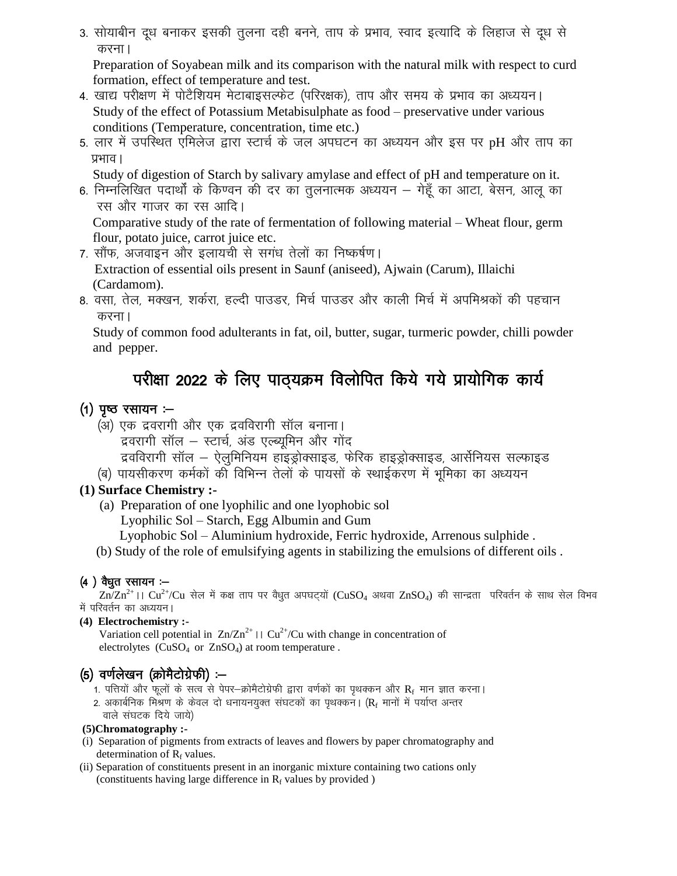3. सोयाबीन दूध बनाकर इसकी तुलना दही बनने, ताप के प्रभाव, स्वाद इत्यादि के लिहाज से दूध से करना।

Preparation of Soyabean milk and its comparison with the natural milk with respect to curd formation, effect of temperature and test.

- 4. खाद्य परीक्षण में पोटैशियम मेटाबाइसल्फेट (परिरक्षक), ताप और समय के प्रभाव का अध्ययन। Study of the effect of Potassium Metabisulphate as food – preservative under various conditions (Temperature, concentration, time etc.)
- 5. लार में उपस्थित एमिलेज द्वारा स्टार्च के जल अपघटन का अध्ययन और इस पर pH और ताप का प्रभाव ।

Study of digestion of Starch by salivary amylase and effect of pH and temperature on it.

6. निम्नलिखित पदार्थों के किण्वन की दर का तुलनात्मक अध्ययन – गेहूँ का आटा, बेसन, आलू का रस और गाजर का रस आदि।

Comparative study of the rate of fermentation of following material - Wheat flour, germ flour, potato juice, carrot juice etc.

7. सौंफ, अजवाइन और इलायची से सगंध तेलों का निष्कर्षण।

Extraction of essential oils present in Saunf (aniseed), Ajwain (Carum), Illaichi (Cardamom).

8. वसा, तेल, मक्खन, शर्करा, हल्दी पाउडर, मिर्च पाउडर और काली मिर्च में अपमिश्रकों की पहचान करना।

Study of common food adulterants in fat, oil, butter, sugar, turmeric powder, chilli powder and pepper.

## परीक्षा 2022 के लिए पाठ्यक्रम विलोपित किये गये प्रायोगिक कार्य

#### $(1)$  पृष्ठ रसायन :-

- (अ) एक द्रवरागी और एक द्रवविरागी सॉल बनाना।
	- द्रवरागी सॉल स्टार्च, अंड एल्ब्यूमिन और गोंद
	- द्रवविरागी सॉल ऐलुमिनियम हाइड्रोक्साइड, फेरिक हाइड्रोक्साइड, आर्सेनियस सल्फाइड
- (ब) पायसीकरण कर्मकों की विभिन्न तेलों के पायसों के स्थाईकरण में भूमिका का अध्ययन

#### (1) Surface Chemistry :-

(a) Preparation of one lyophilic and one lyophobic sol

Lyophilic Sol – Starch, Egg Albumin and Gum

- Lyophobic Sol Aluminium hydroxide, Ferric hydroxide, Arrenous sulphide.
- (b) Study of the role of emulsifying agents in stabilizing the emulsions of different oils.

#### $(4)$  वैधूत रसायन :--

 $\rm ZnZn^{2+}$ ।।  $\rm Cu^{2+}/Cu$  सेल में कक्ष ताप पर वैधुत अपघट्यों ( $\rm CuSO_4$  अथवा  $\rm ZnSO_4$ ) की सान्द्रता परिवर्तन के साथ सेल विभव में परिवर्तन का अध्ययन।

#### (4) Electrochemistry :-

Variation cell potential in  $Zn/Zn^{2+} \sqcup Cu^{2+}/Cu$  with change in concentration of electrolytes  $(CuSO_4 \text{ or } ZnSO_4)$  at room temperature.

## (5) वर्णलेखन (क्रोमैटोग्रेफी) :—

- 1. पत्तियों और फुलों के सत्व से पेपर–क्रोमैटोग्रेफी द्वारा वर्णकों का पृथक्कन और R<sub>f</sub> मान ज्ञात करना।
- 2. अकार्बनिक मिश्रण के केवल दो धनायनयुक्त संघटकों का पृथक्कन। (R, मानों में पर्याप्त अन्तर वाले संघटक दिये जाये)

#### (5)Chromatography :-

- (i) Separation of pigments from extracts of leaves and flowers by paper chromatography and determination of  $R_f$  values.
- (ii) Separation of constituents present in an inorganic mixture containing two cations only (constituents having large difference in  $R_f$  values by provided)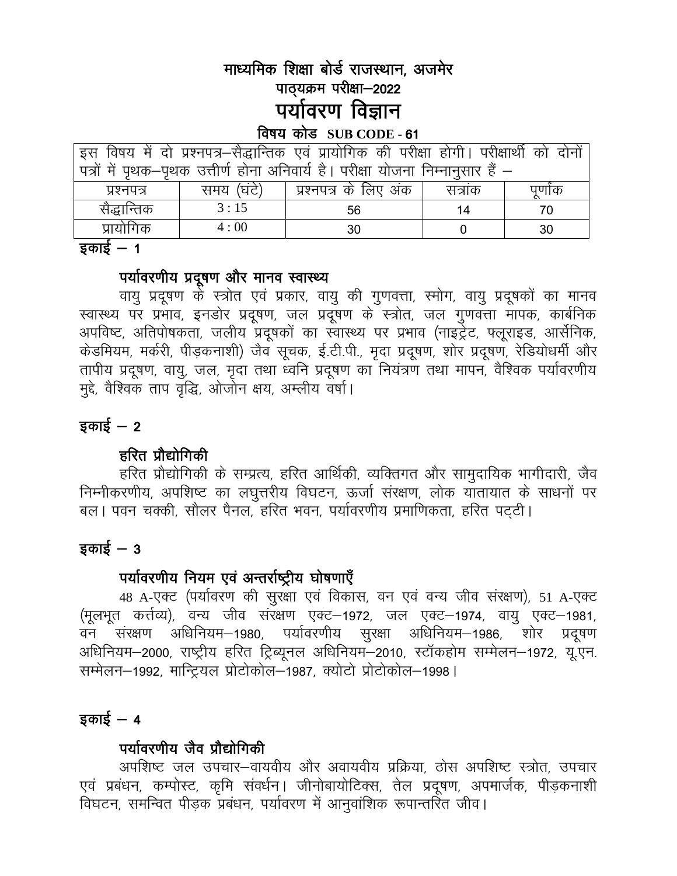## माध्यमिक शिक्षा बोर्ड राजस्थान, अजमेर पाठ्यक्रम परीक्षा-2022 पर्यावरण विज्ञान

#### विषय कोड SUB CODE - 61

| पत्रों में पृथक-पृथक उत्तीर्ण होना अनिवार्य है। परीक्षा योजना निम्नानुसार हैं – |  |
|---------------------------------------------------------------------------------|--|
|                                                                                 |  |
| प्रश्नपत्र के लिए अंक<br>समय (घंटे)<br>सत्राक<br>प्रश्नपत्र<br>पुणोक            |  |
| सैद्धान्तिक<br>3:15<br>56<br>70<br>14                                           |  |
| प्रायोगिक<br>4:00<br>30<br>30                                                   |  |

#### इकाई *—* 1

#### पर्यावरणीय प्रदूषण और मानव स्वास्थ्य

वायु प्रदूषण के स्त्रोत एवं प्रकार, वायु की गुणवत्ता, स्मोग, वायु प्रदूषकों का मानव<br>स्वास्थ्य पर प्रभाव, इनडोर प्रदूषण, जल प्रदूषण के स्त्रोत, जल गुणवत्ता मापक, कार्बनिक अपविष्ट, अतिपोषकता, जलीय प्रदूषकों का स्वास्थ्य पर प्रभाव (नाइट्रेट, फ्लूराइड, आर्सेनिक, केडमियम, मर्करी, पीड़कनाशी) जैव सूचक, ई.टी.पी., मृदा प्रदूषण, शोर प्रदूषण, रेडियोधर्मी और तापीय प्रदूषण, वायु, जल, मृदा तथा ध्वनि प्रदूषण का नियंत्रण तथा मापन, वैश्विक पर्यावरणीय मुद्दे, वैश्विक ताप वृद्धि, ओजोन क्षय, अम्लीय वर्षा।

#### इकाई  $-2$

#### हरित प्रौद्योगिकी

हरित प्रौद्योगिकी के सम्प्रत्य, हरित आर्थिकी, व्यक्तिगत और सामुदायिक भागीदारी, जैव निम्नीकरणीय, अपशिष्ट का लघुत्तरीय विघटन, ऊर्जा संरक्षण, लोक यातायात के साधनों पर बल। पवन चक्की, सौलर पैनल, हरित भवन, पर्यावरणीय प्रमाणिकता, हरित पटटी।

## $\overline{s}$ काई – 3

## पर्यावरणीय नियम एवं अन्तर्राष्ट्रीय घोषणाएँ

48 A-एक्ट (पर्यावरण की सूरक्षा एवं विकास, वन एवं वन्य जीव संरक्षण), 51 A-एक्ट (मूलभूत कर्त्तव्य), वन्य जीव संरक्षण एक्ट–1972, जल एक्ट–1974, वायु एक्ट–1981, वन संरक्षण अधिनियम-1980, पर्यावरणीय सुरक्षा अधिनियम-1986, शोर प्रदूषण अधिनियम–2000, राष्ट्रीय हरित ट्रिब्यूनल अधिनियम–2010, स्टॉकहोम सम्मेलन–1972, यू.एन. सम्मेलन-1992, मान्ट्रियल प्रोटोकोल-1987, क्योटो प्रोटोकोल-1998।

#### इकाई  $-4$

## पर्यावरणीय जैव प्रौद्योगिकी

अपशिष्ट जल उपचार-वायवीय और अवायवीय प्रक्रिया, ठोस अपशिष्ट स्त्रोत, उपचार एवं प्रबंधन, कम्पोस्ट, कृमि संवर्धन। जीनोबायोटिक्स, तेल प्रदूषण, अपमार्जक, पीड़कनाशी विघटन, समन्वित पीड़क प्रबंधन, पर्यावरण में आनुवांशिक रूपान्तरित जीव।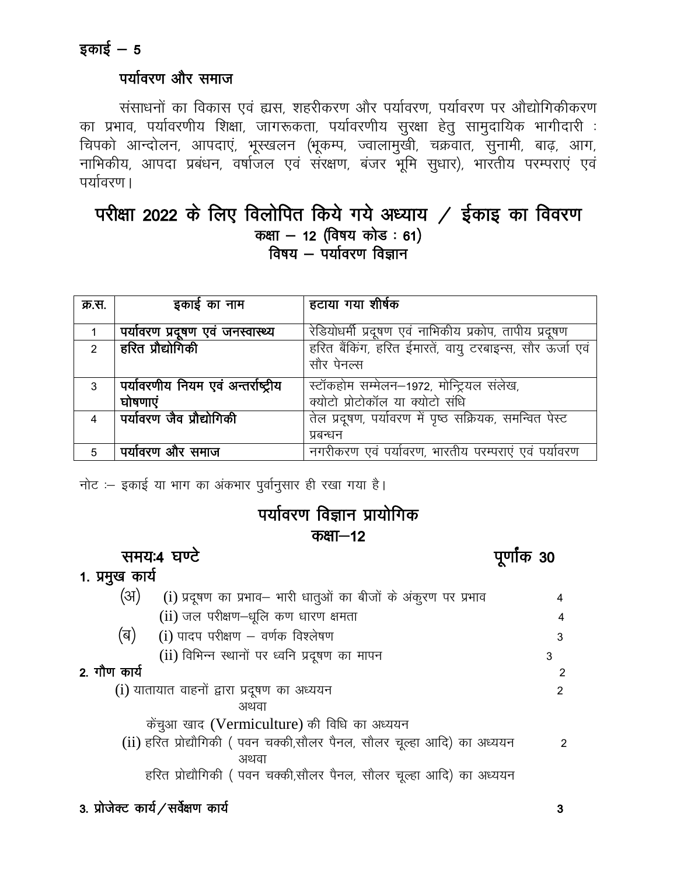#### पर्यावरण और समाज

संसाधनों का विकास एवं ह्यस, शहरीकरण और पर्यावरण, पर्यावरण पर औद्योगिकीकरण का प्रभाव, पर्यावरणीय शिक्षा, जागरूकता, पर्यावरणीय सुरक्षा हेतु सामुदायिक भागीदारी : चिपको आन्दोलन, आपदाएं, भूस्खलन (भूकम्प, ज्वालामुखी, चक्रवात, सुनामी, बाढ़, आग, नाभिकीय, आपदा प्रबंधन, वर्षाजल एवं संरक्षण, बंजर भूमि सुधार), भारतीय परम्पराएं एवं पर्यावरण ।

## परीक्षा 2022 के लिए विलोपित किये गये अध्याय / ईकाइ का विवरण कक्षा - 12 (विषय कोड: 61) विषय  $-$  पर्यावरण विज्ञान

| क्र.स.        | इकाई का नाम                         | हटाया गया शीर्षक                                         |
|---------------|-------------------------------------|----------------------------------------------------------|
|               |                                     |                                                          |
|               | पर्यावरण प्रदूषण एवं जनस्वास्थ्य    | रेडियोधर्मी प्रदूषण एवं नाभिकीय प्रकोप, तापीय प्रदूषण    |
| $\mathcal{P}$ | हरित प्रौद्योगिकी                   | हरित बैंकिंग, हरित ईमारतें, वायु टरबाइन्स, सौर ऊर्जा एवं |
|               |                                     | सौर पेनल्स                                               |
| 3             | पर्यावरणीय नियम एवं अन्तर्राष्ट्रीय | स्टॉकहोम सम्मेलन-1972, मोन्ट्रियल संलेख,                 |
|               | घोषणाएं                             | क्योटो प्रोटोकॉल या क्योटो संधि                          |
| 4             | पर्यावरण जैव प्रौद्योगिकी           | तेल प्रदूषण, पर्यावरण में पृष्ठ सक्रियक, समन्वित पेस्ट   |
|               |                                     | प्रबन्धन                                                 |
| 5             | पर्यावरण और समाज                    | नगरीकरण एवं पर्यावरण, भारतीय परम्पराएं एवं पर्यावरण      |

नोट :- इकाई या भाग का अंकभार पुर्वानुसार ही रखा गया है।

## पर्यावरण विज्ञान प्रायोगिक कक्षा—12

समय:4 घण्टे

पूर्णांक 30

#### 1. प्रमुख कार्य  $(3)$ (i) प्रदुषण का प्रभाव– भारी धातुओं का बीजों के अंकूरण पर प्रभाव  $(ii)$  जल परीक्षण-धृलि कण धारण क्षमता (ৰ)  $(i)$  पादप परीक्षण  $-$  वर्णक विश्लेषण

(ii) विभिन्न स्थानों पर ध्वनि प्रदूषण का मापन

#### 2. गौण कार्य

(i) यातायात वाहनों द्वारा प्रदूषण का अध्ययन अथवा

केंचुआ खाद (Vermiculture) की विधि का अध्ययन

(ii) हरित प्रोद्यौगिकी ( पवन चक्की,सौलर पैनल, सौलर चुल्हा आदि) का अध्ययन  $\overline{2}$ अथवा

हरित प्रोद्यौगिकी (पवन चक्की,सौलर पैनल, सौलर चूल्हा आदि) का अध्ययन

4

 $\overline{4}$ 

3

 $\overline{2}$ 

 $\overline{2}$ 

3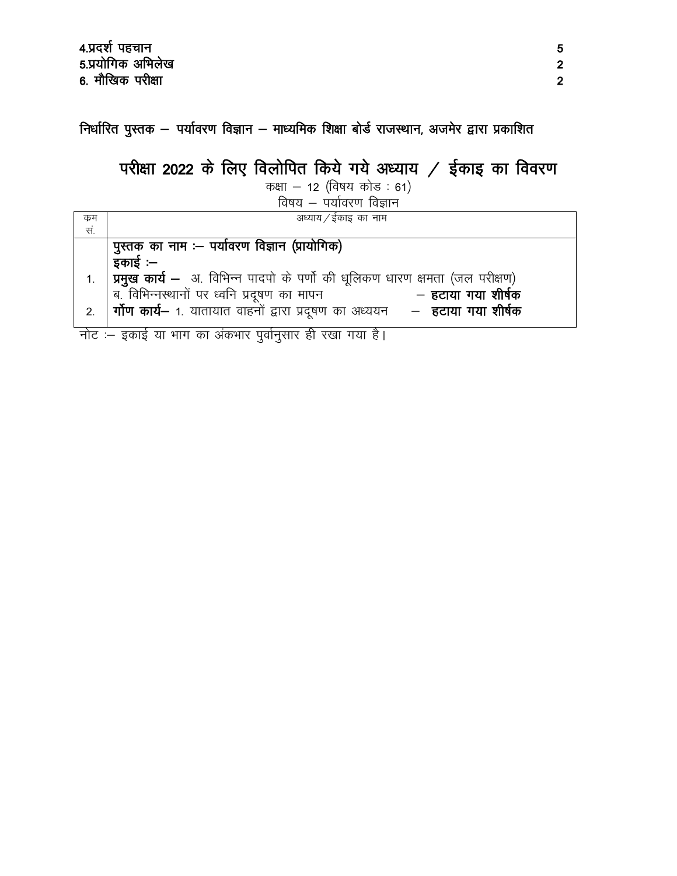निर्धारित पुस्तक – पर्यावरण विज्ञान – माध्यमिक शिक्षा बोर्ड राजस्थान, अजमेर द्वारा प्रकाशित

# परीक्षा 2022 के लिए विलोपित किये गये अध्याय / ईकाइ का विवरण

कक्षा – 12 (विषय कोड: 61)

विषय — पर्यावरण विज्ञान

| क्रम | अध्याय / ईकाइ का नाम                                                                     |
|------|------------------------------------------------------------------------------------------|
| सं.  |                                                                                          |
|      | पुस्तक का नाम :- पर्यावरण विज्ञान (प्रायोगिक)                                            |
|      | इकाई :–                                                                                  |
| 1.   | प्रमुख कार्य – अ. विभिन्न पादपो के पर्णो की धूलिकण धारण क्षमता (जल परीक्षण)              |
|      | ब. विभिन्नस्थानों पर ध्वनि प्रदूषण का मापन<br>— हटाया गया शीर्षक                         |
| 2.   | <b>र्गोण कार्य–</b> 1. यातायात वाहनों द्वारा प्रदूषण का अध्ययन – <b>हटाया गया शीर्षक</b> |
|      |                                                                                          |

नोट :- इकाई या भाग का अंकभार पुर्वानुसार ही रखा गया है।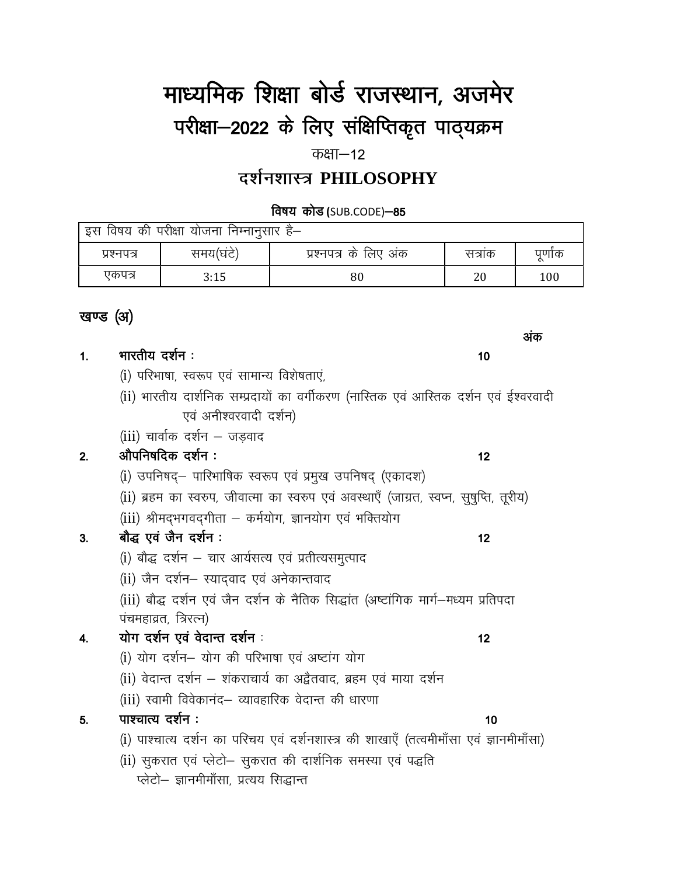# माध्यमिक शिक्षा बोर्ड राजस्थान, अजमेर परीक्षा-2022 के लिए संक्षिप्तिकृत पाठ्यक्रम

कक्षा $-12$ 

# दर्शनशास्त्र PHILOSOPHY

विषय कोड (SUB.CODE)-85

| . की परीक्षा योजना निम्नानुसार ह—<br>इस विषय |          |                       |        |       |
|----------------------------------------------|----------|-----------------------|--------|-------|
| प्रश्नपत्र                                   | समय(घटे) | प्रश्नपत्र के लिए अंक | सत्राक | पुणाक |
| एकपत्र                                       | 3:15     | 80                    | 20     | 100   |

## खण्ड (अ)

| 1. | भारतीय दर्शन :                                                                          | 10 |
|----|-----------------------------------------------------------------------------------------|----|
|    | (i) परिभाषा, स्वरूप एवं सामान्य विशेषताएं,                                              |    |
|    | (ii) भारतीय दार्शनिक सम्प्रदायों का वर्गीकरण (नास्तिक एवं आस्तिक दर्शन एवं ईश्वरवादी    |    |
|    | एवं अनीश्वरवादी दर्शन)                                                                  |    |
|    | (iii) चार्वाक दर्शन – जडवाद                                                             |    |
| 2. | औपनिषदिक दर्शन:                                                                         | 12 |
|    | (i) उपनिषद्– पारिभाषिक स्वरूप एवं प्रमुख उपनिषद् (एकादश)                                |    |
|    | (ii) ब्रहम का स्वरुप, जीवात्मा का स्वरुप एवं अवस्थाएँ (जाग्रत, स्वप्न, सुषुप्ति, तूरीय) |    |
|    | (iii) श्रीमद्भगवद्गीता – कर्मयोग, ज्ञानयोग एवं भक्तियोग                                 |    |
| 3. | बौद्ध एवं जैन दर्शन :                                                                   | 12 |
|    | (i) बौद्ध दर्शन – चार आर्यसत्य एवं प्रतीत्यसमुत्पाद                                     |    |
|    | (ii) जैन दर्शन– स्याद्वाद एवं अनेकान्तवाद                                               |    |
|    | (iii) बौद्ध दर्शन एवं जैन दर्शन के नैतिक सिद्धांत (अष्टांगिक मार्ग—मध्यम प्रतिपदा       |    |
|    | पंचमहाव्रत, त्रिरत्न)                                                                   |    |
| 4. | योग दर्शन एवं वेदान्त दर्शन :                                                           | 12 |
|    | (i) योग दर्शन– योग की परिभाषा एवं अष्टांग योग                                           |    |
|    | (ii) वेदान्त दर्शन – शंकराचार्य का अद्वैतवाद, ब्रहम एवं माया दर्शन                      |    |
|    | (iii) स्वामी विवेकानंद– व्यावहारिक वेदान्त की धारणा                                     |    |
| 5. | पाश्चात्य दर्शन :                                                                       | 10 |
|    | (i) पाश्चात्य दर्शन का परिचय एवं दर्शनशास्त्र की शाखाएँ (तत्वमीमाँसा एवं ज्ञानमीमाँसा)  |    |
|    | (ii) सुकरात एवं प्लेटो– सुकरात की दार्शनिक समस्या एवं पद्धति                            |    |
|    | प्लेटो– ज्ञानमीमॉंसा, प्रत्यय सिद्धान्त                                                 |    |
|    |                                                                                         |    |

अंक